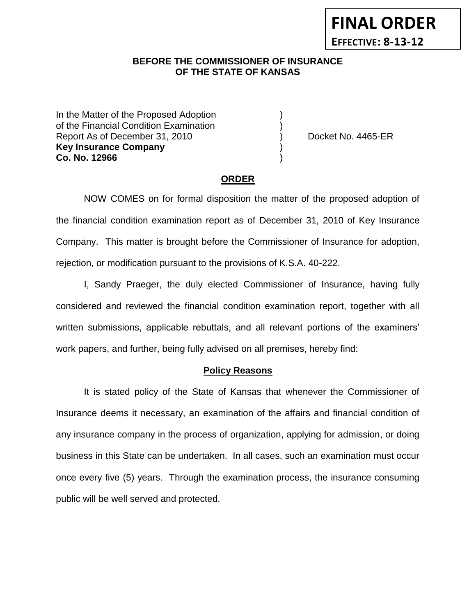# **BEFORE THE COMMISSIONER OF INSURANCE OF THE STATE OF KANSAS**

In the Matter of the Proposed Adoption of the Financial Condition Examination ) Report As of December 31, 2010 (and Contact Contact Contact No. 4465-ER **Key Insurance Company** ) **Co. No. 12966** )

**FINAL ORDER**

**EFFECTIVE: 8-13-12**

#### **ORDER**

NOW COMES on for formal disposition the matter of the proposed adoption of the financial condition examination report as of December 31, 2010 of Key Insurance Company. This matter is brought before the Commissioner of Insurance for adoption, rejection, or modification pursuant to the provisions of K.S.A. 40-222.

I, Sandy Praeger, the duly elected Commissioner of Insurance, having fully considered and reviewed the financial condition examination report, together with all written submissions, applicable rebuttals, and all relevant portions of the examiners' work papers, and further, being fully advised on all premises, hereby find:

#### **Policy Reasons**

It is stated policy of the State of Kansas that whenever the Commissioner of Insurance deems it necessary, an examination of the affairs and financial condition of any insurance company in the process of organization, applying for admission, or doing business in this State can be undertaken. In all cases, such an examination must occur once every five (5) years. Through the examination process, the insurance consuming public will be well served and protected.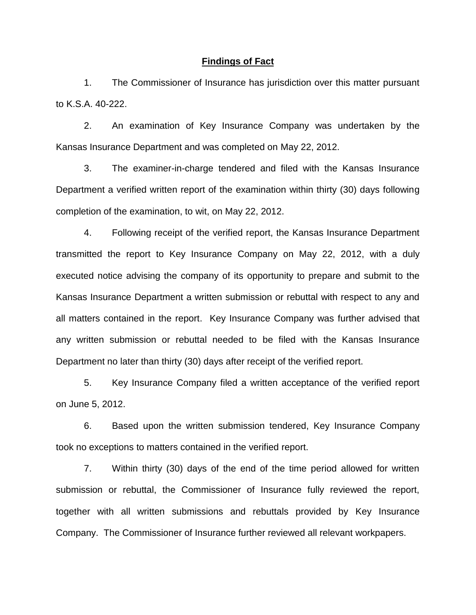#### **Findings of Fact**

1. The Commissioner of Insurance has jurisdiction over this matter pursuant to K.S.A. 40-222.

2. An examination of Key Insurance Company was undertaken by the Kansas Insurance Department and was completed on May 22, 2012.

3. The examiner-in-charge tendered and filed with the Kansas Insurance Department a verified written report of the examination within thirty (30) days following completion of the examination, to wit, on May 22, 2012.

4. Following receipt of the verified report, the Kansas Insurance Department transmitted the report to Key Insurance Company on May 22, 2012, with a duly executed notice advising the company of its opportunity to prepare and submit to the Kansas Insurance Department a written submission or rebuttal with respect to any and all matters contained in the report. Key Insurance Company was further advised that any written submission or rebuttal needed to be filed with the Kansas Insurance Department no later than thirty (30) days after receipt of the verified report.

5. Key Insurance Company filed a written acceptance of the verified report on June 5, 2012.

6. Based upon the written submission tendered, Key Insurance Company took no exceptions to matters contained in the verified report.

7. Within thirty (30) days of the end of the time period allowed for written submission or rebuttal, the Commissioner of Insurance fully reviewed the report, together with all written submissions and rebuttals provided by Key Insurance Company. The Commissioner of Insurance further reviewed all relevant workpapers.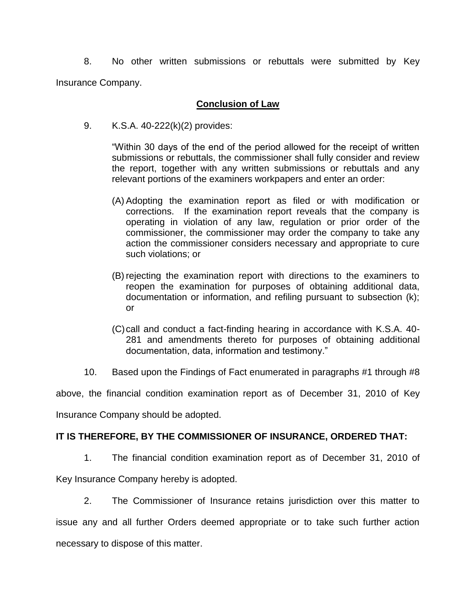8. No other written submissions or rebuttals were submitted by Key Insurance Company.

### **Conclusion of Law**

9. K.S.A. 40-222(k)(2) provides:

"Within 30 days of the end of the period allowed for the receipt of written submissions or rebuttals, the commissioner shall fully consider and review the report, together with any written submissions or rebuttals and any relevant portions of the examiners workpapers and enter an order:

- (A) Adopting the examination report as filed or with modification or corrections. If the examination report reveals that the company is operating in violation of any law, regulation or prior order of the commissioner, the commissioner may order the company to take any action the commissioner considers necessary and appropriate to cure such violations; or
- (B) rejecting the examination report with directions to the examiners to reopen the examination for purposes of obtaining additional data, documentation or information, and refiling pursuant to subsection (k); or
- (C)call and conduct a fact-finding hearing in accordance with K.S.A. 40- 281 and amendments thereto for purposes of obtaining additional documentation, data, information and testimony."
- 10. Based upon the Findings of Fact enumerated in paragraphs #1 through #8

above, the financial condition examination report as of December 31, 2010 of Key Insurance Company should be adopted.

### **IT IS THEREFORE, BY THE COMMISSIONER OF INSURANCE, ORDERED THAT:**

1. The financial condition examination report as of December 31, 2010 of

Key Insurance Company hereby is adopted.

2. The Commissioner of Insurance retains jurisdiction over this matter to issue any and all further Orders deemed appropriate or to take such further action necessary to dispose of this matter.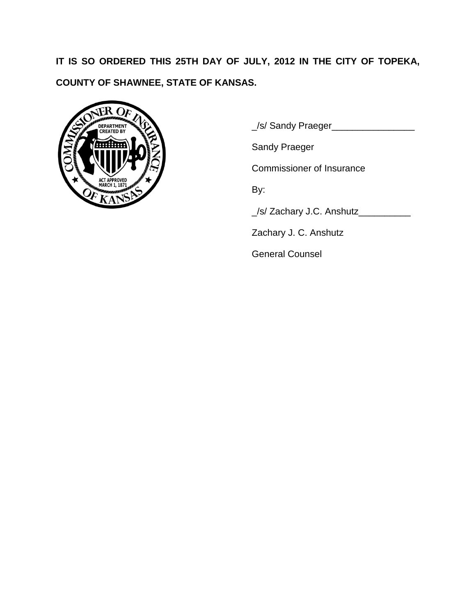**IT IS SO ORDERED THIS 25TH DAY OF JULY, 2012 IN THE CITY OF TOPEKA, COUNTY OF SHAWNEE, STATE OF KANSAS.**



\_/s/ Sandy Praeger\_\_\_\_\_\_\_\_\_\_\_\_\_\_\_\_

Sandy Praeger

Commissioner of Insurance

By:

\_/s/ Zachary J.C. Anshutz\_\_\_\_\_\_\_\_\_\_

Zachary J. C. Anshutz

General Counsel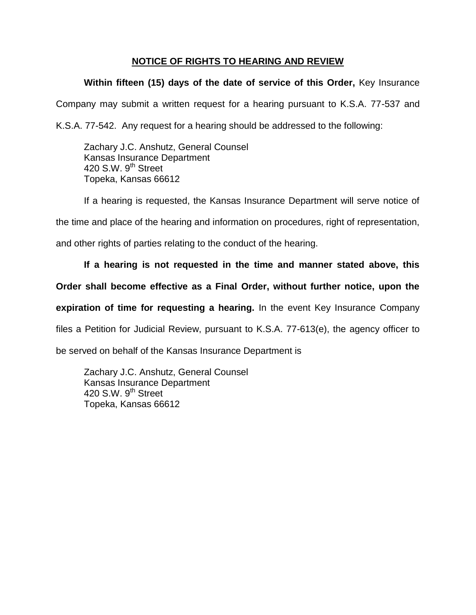# **NOTICE OF RIGHTS TO HEARING AND REVIEW**

# **Within fifteen (15) days of the date of service of this Order,** Key Insurance

Company may submit a written request for a hearing pursuant to K.S.A. 77-537 and

K.S.A. 77-542. Any request for a hearing should be addressed to the following:

Zachary J.C. Anshutz, General Counsel Kansas Insurance Department 420 S.W. 9<sup>th</sup> Street Topeka, Kansas 66612

If a hearing is requested, the Kansas Insurance Department will serve notice of

the time and place of the hearing and information on procedures, right of representation,

and other rights of parties relating to the conduct of the hearing.

# **If a hearing is not requested in the time and manner stated above, this**

### **Order shall become effective as a Final Order, without further notice, upon the**

**expiration of time for requesting a hearing.** In the event Key Insurance Company

files a Petition for Judicial Review, pursuant to K.S.A. 77-613(e), the agency officer to

be served on behalf of the Kansas Insurance Department is

Zachary J.C. Anshutz, General Counsel Kansas Insurance Department 420 S.W.  $9<sup>th</sup>$  Street Topeka, Kansas 66612